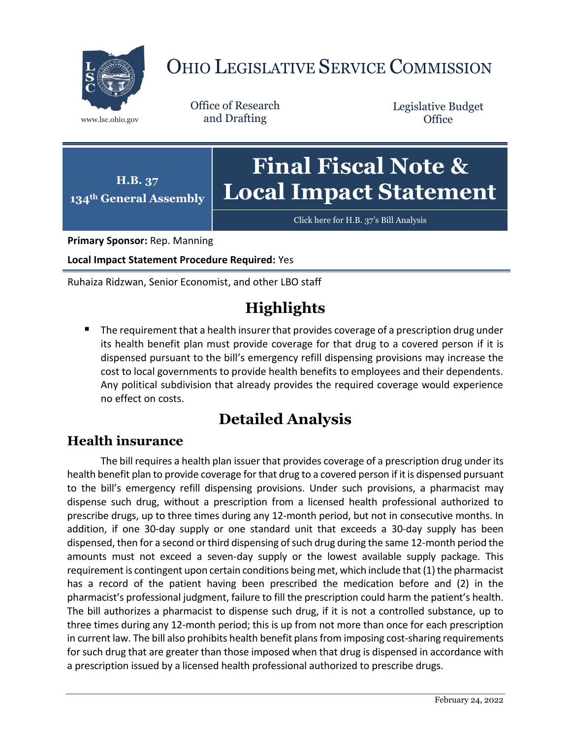

# OHIO LEGISLATIVE SERVICE COMMISSION

Office of Research www.lsc.ohio.gov and Drafting

Legislative Budget **Office** 

#### **H.B. 37 134th General Assembly Final Fiscal Note & Local Impact Statement**

[Click here for H.B. 37](https://www.legislature.ohio.gov/legislation/legislation-documents?id=GA134-HB-37)'s Bill Analysis

**Primary Sponsor:** Rep. Manning

**Local Impact Statement Procedure Required:** Yes

Ruhaiza Ridzwan, Senior Economist, and other LBO staff

# **Highlights**

 The requirement that a health insurer that provides coverage of a prescription drug under its health benefit plan must provide coverage for that drug to a covered person if it is dispensed pursuant to the bill's emergency refill dispensing provisions may increase the cost to local governments to provide health benefits to employees and their dependents. Any political subdivision that already provides the required coverage would experience no effect on costs.

## **Detailed Analysis**

### **Health insurance**

The bill requires a health plan issuer that provides coverage of a prescription drug under its health benefit plan to provide coverage for that drug to a covered person if it is dispensed pursuant to the bill's emergency refill dispensing provisions. Under such provisions, a pharmacist may dispense such drug, without a prescription from a licensed health professional authorized to prescribe drugs, up to three times during any 12-month period, but not in consecutive months. In addition, if one 30-day supply or one standard unit that exceeds a 30-day supply has been dispensed, then for a second or third dispensing of such drug during the same 12-month period the amounts must not exceed a seven-day supply or the lowest available supply package. This requirement is contingent upon certain conditions being met, which include that (1) the pharmacist has a record of the patient having been prescribed the medication before and (2) in the pharmacist's professional judgment, failure to fill the prescription could harm the patient's health. The bill authorizes a pharmacist to dispense such drug, if it is not a controlled substance, up to three times during any 12-month period; this is up from not more than once for each prescription in current law. The bill also prohibits health benefit plans from imposing cost-sharing requirements for such drug that are greater than those imposed when that drug is dispensed in accordance with a prescription issued by a licensed health professional authorized to prescribe drugs.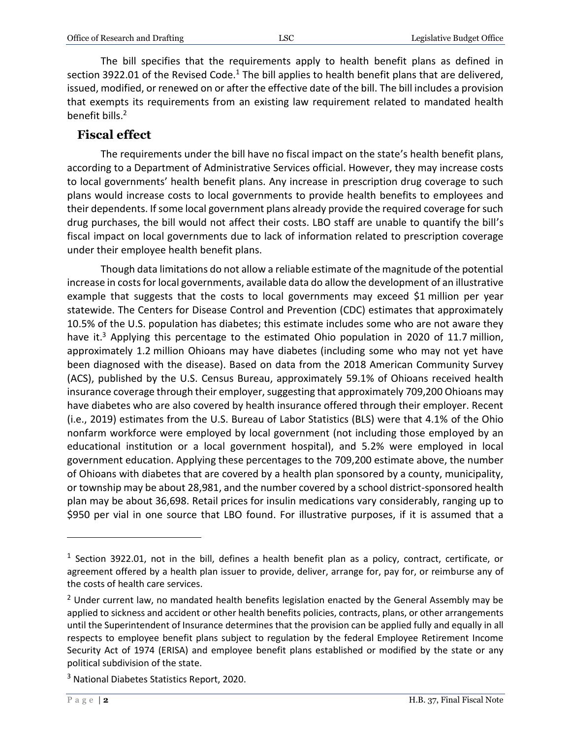The bill specifies that the requirements apply to health benefit plans as defined in section 3922.01 of the Revised Code.<sup>1</sup> The bill applies to health benefit plans that are delivered, issued, modified, or renewed on or after the effective date of the bill. The bill includes a provision that exempts its requirements from an existing law requirement related to mandated health benefit bills. 2

#### **Fiscal effect**

The requirements under the bill have no fiscal impact on the state's health benefit plans, according to a Department of Administrative Services official. However, they may increase costs to local governments' health benefit plans. Any increase in prescription drug coverage to such plans would increase costs to local governments to provide health benefits to employees and their dependents. If some local government plans already provide the required coverage for such drug purchases, the bill would not affect their costs. LBO staff are unable to quantify the bill's fiscal impact on local governments due to lack of information related to prescription coverage under their employee health benefit plans.

Though data limitations do not allow a reliable estimate of the magnitude of the potential increase in costs for local governments, available data do allow the development of an illustrative example that suggests that the costs to local governments may exceed \$1 million per year statewide. The Centers for Disease Control and Prevention (CDC) estimates that approximately 10.5% of the U.S. population has diabetes; this estimate includes some who are not aware they have it.<sup>3</sup> Applying this percentage to the estimated Ohio population in 2020 of 11.7 million, approximately 1.2 million Ohioans may have diabetes (including some who may not yet have been diagnosed with the disease). Based on data from the 2018 American Community Survey (ACS), published by the U.S. Census Bureau, approximately 59.1% of Ohioans received health insurance coverage through their employer, suggesting that approximately 709,200 Ohioans may have diabetes who are also covered by health insurance offered through their employer. Recent (i.e., 2019) estimates from the U.S. Bureau of Labor Statistics (BLS) were that 4.1% of the Ohio nonfarm workforce were employed by local government (not including those employed by an educational institution or a local government hospital), and 5.2% were employed in local government education. Applying these percentages to the 709,200 estimate above, the number of Ohioans with diabetes that are covered by a health plan sponsored by a county, municipality, or township may be about 28,981, and the number covered by a school district-sponsored health plan may be about 36,698. Retail prices for insulin medications vary considerably, ranging up to \$950 per vial in one source that LBO found. For illustrative purposes, if it is assumed that a

 $\overline{a}$ 

<sup>&</sup>lt;sup>1</sup> Section 3922.01, not in the bill, defines a health benefit plan as a policy, contract, certificate, or agreement offered by a health plan issuer to provide, deliver, arrange for, pay for, or reimburse any of the costs of health care services.

 $2$  Under current law, no mandated health benefits legislation enacted by the General Assembly may be applied to sickness and accident or other health benefits policies, contracts, plans, or other arrangements until the Superintendent of Insurance determines that the provision can be applied fully and equally in all respects to employee benefit plans subject to regulation by the federal Employee Retirement Income Security Act of 1974 (ERISA) and employee benefit plans established or modified by the state or any political subdivision of the state.

<sup>&</sup>lt;sup>3</sup> National Diabetes Statistics Report, 2020.